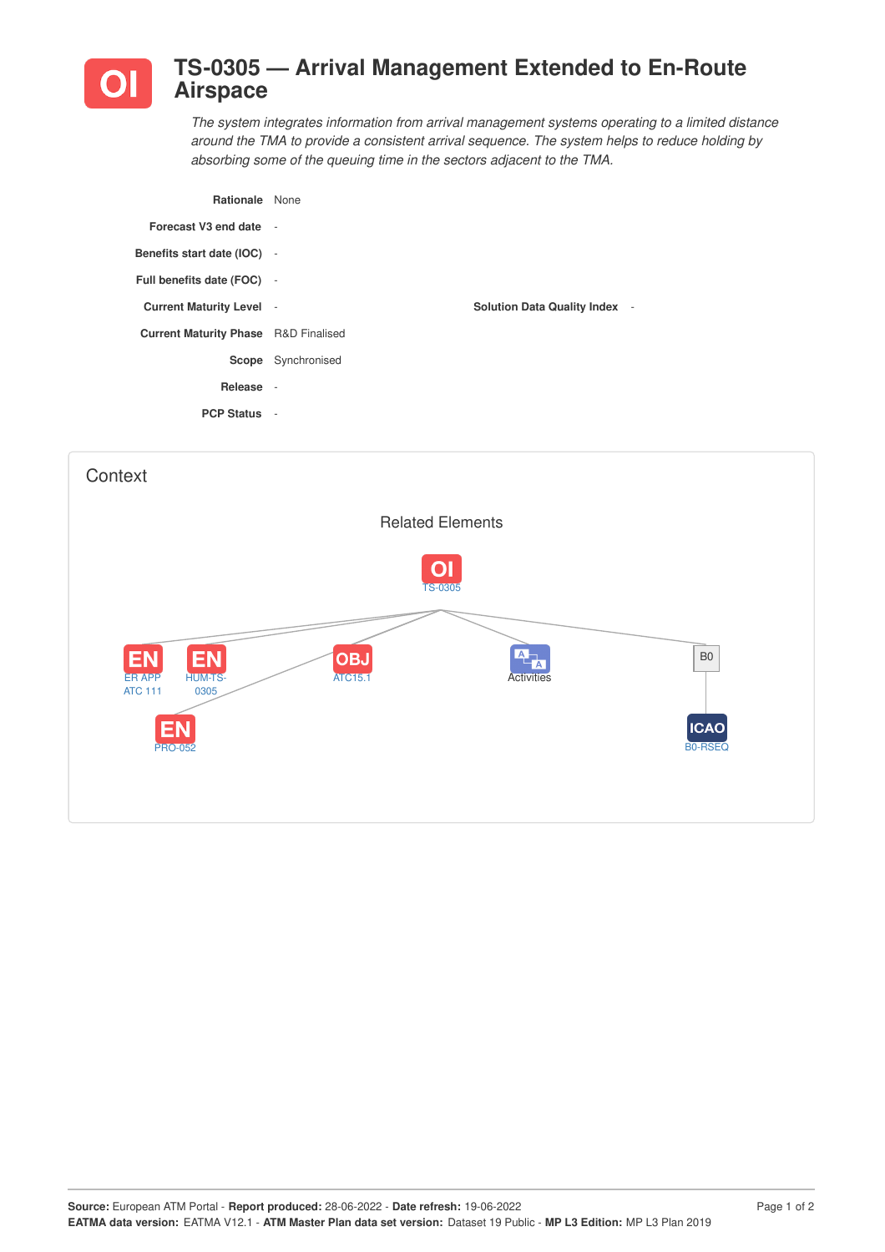

## **TS-0305 — Arrival Management Extended to En-Route Airspace**

*The system integrates information from arrival management systems operating to a limited distance around the TMA to provide a consistent arrival sequence. The system helps to reduce holding by absorbing some of the queuing time in the sectors adjacent to the TMA.*

| <b>Rationale</b> None                       |                           |                                      |
|---------------------------------------------|---------------------------|--------------------------------------|
| Forecast V3 end date -                      |                           |                                      |
| Benefits start date (IOC) -                 |                           |                                      |
| Full benefits date (FOC) -                  |                           |                                      |
| <b>Current Maturity Level -</b>             |                           | <b>Solution Data Quality Index -</b> |
| <b>Current Maturity Phase</b> R&D Finalised |                           |                                      |
|                                             | <b>Scope</b> Synchronised |                                      |
| Release -                                   |                           |                                      |
| <b>PCP Status -</b>                         |                           |                                      |
|                                             |                           |                                      |